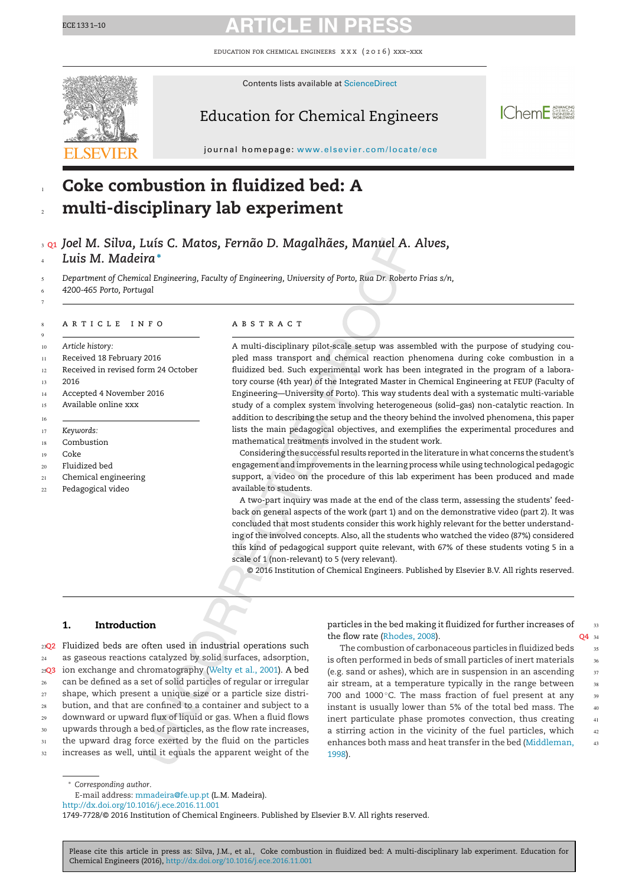## ECE <sup>133</sup> 1–10 **ARTICLE IN PRESS**

education for chemical engineers x x x ( 2 0 1 6 ) xxx–xxx



#### Contents lists available at [ScienceDirect](http://www.sciencedirect.com/science/journal/17497728)

### Education for Chemical Engineers



journal homepage: <www.elsevier.com/locate/ece>

#### **Coke combustion in fluidized bed: A multi-disciplinary lab experiment** 1 2

**Q1** *Joel M. Silva, Luís C. Matos, Fernão D. Magalhães, Manuel A. Alves,* 3 *Luis M. Madeira***<sup>∗</sup>** 4

*Department of Chemical Engineering, Faculty of Engineering, University of Porto, Rua Dr. Roberto Frias s/n,* 5

*4200-465 Porto, Portugal* 6

#### ARTICLE INFO

*Article history:* 10

- Received 18 February 2016 11
- Received in revised form 24 October 12
- 2016 13

7

8 9

16

- Accepted 4 November 2016 14
- Available online xxx 15
- *Keywords:* 17
- Combustion 18
- Coke 19
- Fluidized bed 20
- Chemical engineering  $21$
- Pedagogical video  $22$

#### a b s t r a c t

A multi-disciplinary pilot-scale setup was assembled with the purpose of studying coupled mass transport and chemical reaction phenomena during coke combustion in a fluidized bed. Such experimental work has been integrated in the program of a laboratory course (4th year) of the Integrated Master in Chemical Engineering at FEUP (Faculty of Engineering—University of Porto). This way students deal with a systematic multi-variable study of a complex system involving heterogeneous (solid–gas) non-catalytic reaction. In addition to describing the setup and the theory behind the involved phenomena, this paper lists the main pedagogical objectives, and exemplifies the experimental procedures and mathematical treatments involved in the student work.

Considering the successful results reported in the literature in what concerns the student's engagement and improvements in the learning process while using technological pedagogic support, a video on the procedure of this lab experiment has been produced and made available to students.

A two-part inquiry was made at the end of the class term, assessing the students' feedback on general aspects of the work (part 1) and on the demonstrative video (part 2). It was concluded that most students consider this work highly relevant for the better understanding of the involved concepts. Also, all the students who watched the video (87%) considered this kind of pedagogical support quite relevant, with 67% of these students voting 5 in a scale of 1 (non-relevant) to 5 (very relevant).

© 2016 Institution of Chemical Engineers. Published by Elsevier B.V. All rights reserved.

### **1. Introduction**

**Q2** Fluidized beds are often used in industrial operations such 23 as gaseous reactions catalyzed by solid surfaces, adsorption, **Q3** ion exchange and chromatography [\(Welty](#page--1-0) et [al.,](#page--1-0) [2001\).](#page--1-0) A bed 25 can be defined as a set of solid particles of regular or irregular shape, which present a unique size or a particle size distribution, and that are confined to a container and subject to a downward or upward flux of liquid or gas. When a fluid flows upwards through a bed of particles, as the flow rate increases, the upward drag force exerted by the fluid on the particles increases as well, until it equals the apparent weight of the 24 26 27 28  $29$ 30 31 32

particles in the bed making it fluidized for further increases of the flow rate [\(Rhodes,](#page--1-0) [2008\).](#page--1-0) O<sub>4</sub> 34

The combustion of carbonaceous particles in fluidized beds is often performed in beds of small particles of inert materials (e.g. sand or ashes), which are in suspension in an ascending air stream, at a temperature typically in the range between 700 and 1000 $\degree$ C. The mass fraction of fuel present at any instant is usually lower than 5% of the total bed mass. The inert particulate phase promotes convection, thus creating a stirring action in the vicinity of the fuel particles, which enhances both mass and heat transfer in the bed [\(Middleman,](#page--1-0) [1998\).](#page--1-0) 35 36 37 38 <sub>20</sub> 40 41 42 43

33

<sup>∗</sup> *Corresponding author*.

E-mail address: [mmadeira@fe.up.pt](mailto:mmadeira@fe.up.pt) (L.M. Madeira).

[http://dx.doi.org/10.1016/j.ece.2016.11.001](dx.doi.org/10.1016/j.ece.2016.11.001)

Please cite this article in press as: Silva, J.M., et al., Coke combustion in fluidized bed: A multi-disciplinary lab experiment. Education for Chemical Engineers (2016), [http://dx.doi.org/10.1016/j.ece.2016.11.001](dx.doi.org/10.1016/j.ece.2016.11.001)

<sup>1749-7728/©</sup> 2016 Institution of Chemical Engineers. Published by Elsevier B.V. All rights reserved.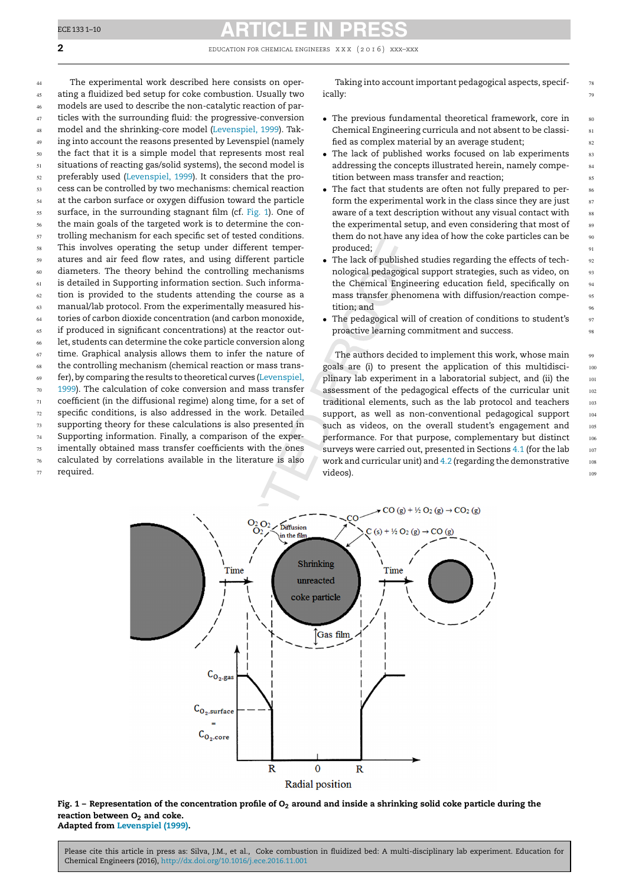### ECE <sup>133</sup> 1–10 **ARTICLE IN PRESS**

**2** EDUCATION FOR CHEMICAL ENGINEERS XXX (2016) XXX–XXX

The experimental work described here consists on operating a fluidized bed setup for coke combustion. Usually two models are used to describe the non-catalytic reaction of particles with the surrounding fluid: the progressive-conversion model and the shrinking-core model ([Levenspiel,](#page--1-0) [1999\).](#page--1-0) Taking into account the reasons presented by Levenspiel (namely the fact that it is a simple model that represents most real situations of reacting gas/solid systems), the second model is preferably used ([Levenspiel,](#page--1-0) [1999\).](#page--1-0) It considers that the process can be controlled by two mechanisms: chemical reaction at the carbon surface or oxygen diffusion toward the particle surface, in the surrounding stagnant film (cf. Fig. 1). One of the main goals of the targeted work is to determine the controlling mechanism for each specific set of tested conditions. This involves operating the setup under different temperatures and air feed flow rates, and using different particle diameters. The theory behind the controlling mechanisms is detailed in Supporting information section. Such information is provided to the students attending the course as a manual/lab protocol. From the experimentally measured histories of carbon dioxide concentration (and carbon monoxide, if produced in significant concentrations) at the reactor outlet, students can determine the coke particle conversion along time. Graphical analysis allows them to infer the nature of the controlling mechanism (chemical reaction or mass transfer), by comparing the results to theoretical curves ([Levenspiel,](#page--1-0) [1999\).](#page--1-0) The calculation of coke conversion and mass transfer coefficient (in the diffusional regime) along time, for a set of specific conditions, is also addressed in the work. Detailed supporting theory for these calculations is also presented in Supporting information. Finally, a comparison of the experimentally obtained mass transfer coefficients with the ones calculated by correlations available in the literature is also required. 44 45 46 47 48 49 50 51 52 53 54 55 56 57 58 59 60 61 62 63 64 65 66 67 68 69 70 71 72 73 74 75 76 77

Taking into account important pedagogical aspects, specifically:

- The previous fundamental theoretical framework, core in Chemical Engineering curricula and not absent to be classified as complex material by an average student;
- The lack of published works focused on lab experiments addressing the concepts illustrated herein, namely competition between mass transfer and reaction;
- The fact that students are often not fully prepared to perform the experimental work in the class since they are just aware of a text description without any visual contact with the experimental setup, and even considering that most of them do not have any idea of how the coke particles can be produced;
- The lack of published studies regarding the effects of technological pedagogical support strategies, such as video, on the Chemical Engineering education field, specifically on mass transfer phenomena with diffusion/reaction competition; and
- The pedagogical will of creation of conditions to student's proactive learning commitment and success.

The authors decided to implement this work, whose main goals are (i) to present the application of this multidisciplinary lab experiment in a laboratorial subject, and (ii) the assessment of the pedagogical effects of the curricular unit traditional elements, such as the lab protocol and teachers support, as well as non-conventional pedagogical support such as videos, on the overall student's engagement and performance. For that purpose, complementary but distinct surveys were carried out, presented in Sections [4.1](#page--1-0) (for the lab work and curricular unit) and [4.2](#page--1-0) (regarding the demonstrative videos).



Fig. 1 - Representation of the concentration profile of  $O_2$  around and inside a shrinking solid coke particle during the **reaction** between  $O<sub>2</sub>$  and coke. **Adapted from [Levenspiel](#page--1-0) [\(1999\).](#page--1-0)**

78 79

Please cite this article in press as: Silva, J.M., et al., Coke combustion in fluidized bed: A multi-disciplinary lab experiment. Education for Chemical Engineers (2016), [http://dx.doi.org/10.1016/j.ece.2016.11.001](dx.doi.org/10.1016/j.ece.2016.11.001)